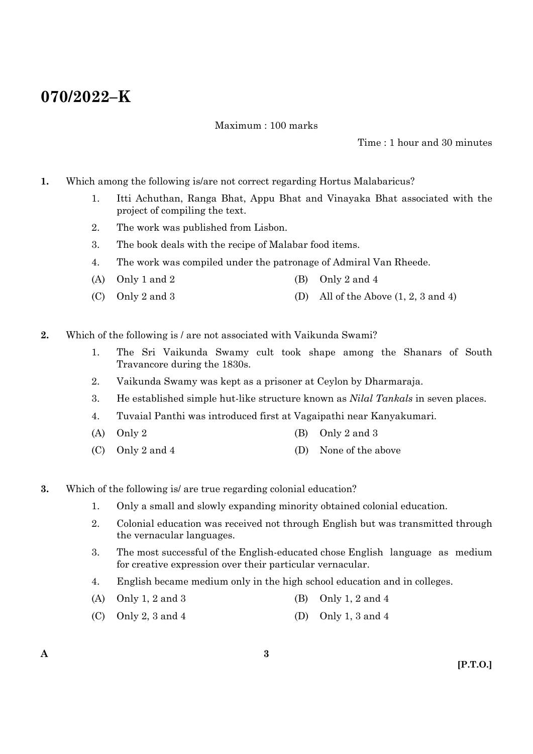# **070/2022–K**

Maximum : 100 marks

Time : 1 hour and 30 minutes

- **1.** Which among the following is/are not correct regarding Hortus Malabaricus?
	- 1. Itti Achuthan, Ranga Bhat, Appu Bhat and Vinayaka Bhat associated with the project of compiling the text.
	- 2. The work was published from Lisbon.
	- 3. The book deals with the recipe of Malabar food items.
	- 4. The work was compiled under the patronage of Admiral Van Rheede.
	- (A) Only 1 and 2 (B) Only 2 and 4
	- (C) Only 2 and 3 (D) All of the Above  $(1, 2, 3 \text{ and } 4)$
- **2.** Which of the following is / are not associated with Vaikunda Swami?
	- 1. The Sri Vaikunda Swamy cult took shape among the Shanars of South Travancore during the 1830s.
	- 2. Vaikunda Swamy was kept as a prisoner at Ceylon by Dharmaraja.
	- 3. He established simple hut-like structure known as *Nilal Tankals* in seven places.
	- 4. Tuvaial Panthi was introduced first at Vagaipathi near Kanyakumari.
	- (A) Only 2 (B) Only 2 and 3
	- (C) Only 2 and 4 (D) None of the above
- **3.** Which of the following is/ are true regarding colonial education?
	- 1. Only a small and slowly expanding minority obtained colonial education.
	- 2. Colonial education was received not through English but was transmitted through the vernacular languages.
	- 3. The most successful of the English-educated chose English language as medium for creative expression over their particular vernacular.
	- 4. English became medium only in the high school education and in colleges.
	- (A) Only 1, 2 and 3 (B) Only 1, 2 and 4
	- (C) Only 2, 3 and 4 (D) Only 1, 3 and 4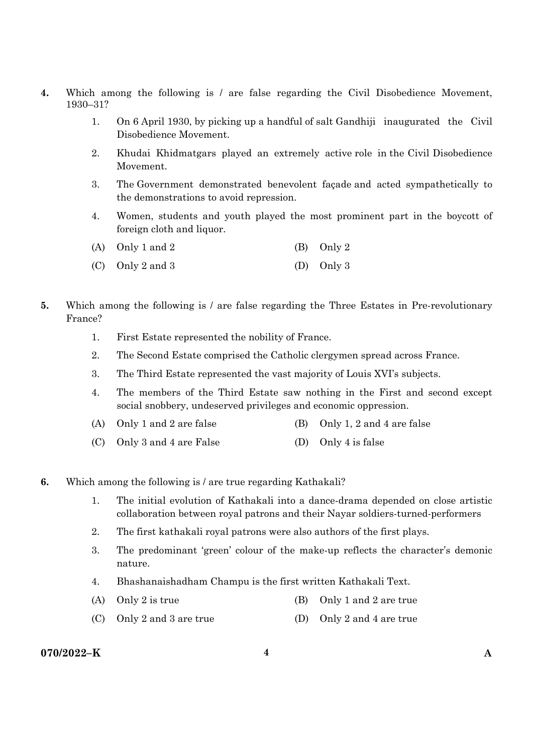- **4.** Which among the following is / are false regarding the Civil Disobedience Movement, 1930–31?
	- 1. On 6 April 1930, by picking up a handful of salt Gandhiji inaugurated the Civil Disobedience Movement.
	- 2. Khudai Khidmatgars played an extremely active role in the Civil Disobedience Movement.
	- 3. The Government demonstrated benevolent façade and acted sympathetically to the demonstrations to avoid repression.
	- 4. Women, students and youth played the most prominent part in the boycott of foreign cloth and liquor.

| (A) Only 1 and 2 | (B) Only 2 |
|------------------|------------|
|                  |            |

- (C) Only 2 and 3 (D) Only 3
- **5.** Which among the following is / are false regarding the Three Estates in Pre-revolutionary France?
	- 1. First Estate represented the nobility of France.
	- 2. The Second Estate comprised the Catholic clergymen spread across France.
	- 3. The Third Estate represented the vast majority of Louis XVI's subjects.
	- 4. The members of the Third Estate saw nothing in the First and second except social snobbery, undeserved privileges and economic oppression.
	- (A) Only 1 and 2 are false (B) Only 1, 2 and 4 are false
	- (C) Only 3 and 4 are False (D) Only 4 is false
- **6.** Which among the following is / are true regarding Kathakali?
	- 1. The initial evolution of Kathakali into a dance-drama depended on close artistic collaboration between royal patrons and their Nayar soldiers-turned-performers
	- 2. The first kathakali royal patrons were also authors of the first plays.
	- 3. The predominant 'green' colour of the make-up reflects the character's demonic nature.
	- 4. Bhashanaishadham Champu is the first written Kathakali Text.
	- (A) Only 2 is true (B) Only 1 and 2 are true
	- (C) Only 2 and 3 are true (D) Only 2 and 4 are true

# **070/2022–K 4 A**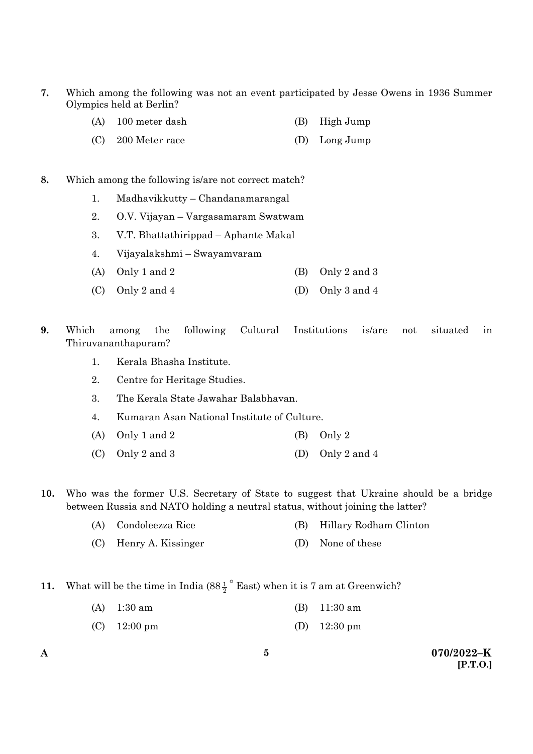- **7.** Which among the following was not an event participated by Jesse Owens in 1936 Summer Olympics held at Berlin?
	- (A) 100 meter dash (B) High Jump
	- (C) 200 Meter race (D) Long Jump

#### **8.** Which among the following is/are not correct match?

- 1. Madhavikkutty Chandanamarangal
- 2. O.V. Vijayan Vargasamaram Swatwam
- 3. V.T. Bhattathirippad Aphante Makal
- 4. Vijayalakshmi Swayamvaram
- (A) Only 1 and 2 (B) Only 2 and 3
- (C) Only 2 and 4 (D) Only 3 and 4
- **9.** Which among the following Cultural Institutions is/are not situated in Thiruvananthapuram?
	- 1. Kerala Bhasha Institute.
	- 2. Centre for Heritage Studies.
	- 3. The Kerala State Jawahar Balabhavan.
	- 4. Kumaran Asan National Institute of Culture.
	- (A) Only 1 and 2 (B) Only 2
	- (C) Only 2 and 3 (D) Only 2 and 4
- **10.** Who was the former U.S. Secretary of State to suggest that Ukraine should be a bridge between Russia and NATO holding a neutral status, without joining the latter?
	- (A) Condoleezza Rice (B) Hillary Rodham Clinton
	- (C) Henry A. Kissinger (D) None of these
- **11.** What will be the time in India  $(88\frac{1}{2})^{\circ}$  East) when it is 7 am at Greenwich?
	- (A) 1:30 am (B) 11:30 am
	- (C) 12:00 pm (D) 12:30 pm

**A 070/2022–K [P.T.O.]**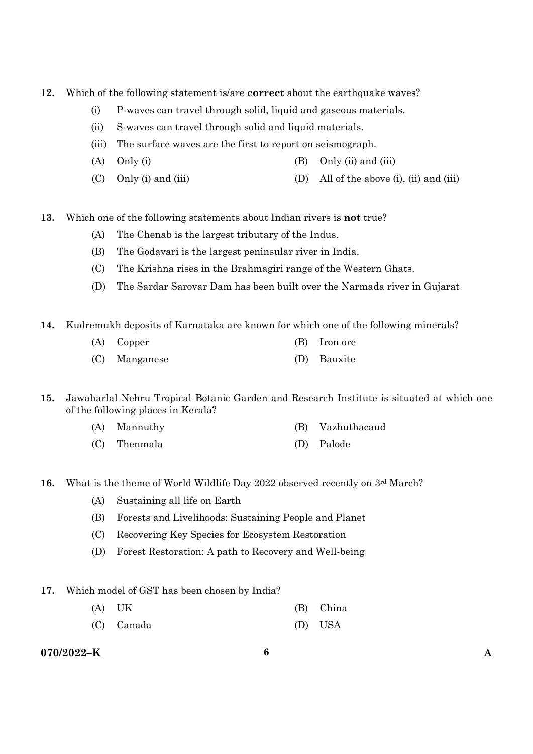- **12.** Which of the following statement is/are **correct** about the earthquake waves?
	- (i) P-waves can travel through solid, liquid and gaseous materials.
	- (ii) S-waves can travel through solid and liquid materials.
	- (iii) The surface waves are the first to report on seismograph.
	- (A) Only (i)  $(3)$  Only (ii) and (iii)
	- (C) Only (i) and (iii) (D) All of the above (i), (ii) and (iii)
- **13.** Which one of the following statements about Indian rivers is **not** true?
	- (A) The Chenab is the largest tributary of the Indus.
	- (B) The Godavari is the largest peninsular river in India.
	- (C) The Krishna rises in the Brahmagiri range of the Western Ghats.
	- (D) The Sardar Sarovar Dam has been built over the Narmada river in Gujarat
- **14.** Kudremukh deposits of Karnataka are known for which one of the following minerals?
	- (A) Copper (B) Iron ore (C) Manganese (D) Bauxite
- **15.** Jawaharlal Nehru Tropical Botanic Garden and Research Institute is situated at which one of the following places in Kerala?
	- (A) Mannuthy (B) Vazhuthacaud
	- (C) Thenmala (D) Palode
- **16.** What is the theme of World Wildlife Day 2022 observed recently on 3<sup>rd</sup> March?
	- (A) Sustaining all life on Earth
	- (B) Forests and Livelihoods: Sustaining People and Planet
	- (C) Recovering Key Species for Ecosystem Restoration
	- (D) Forest Restoration: A path to Recovery and Well-being
- **17.** Which model of GST has been chosen by India?
	- (A) UK (B) China
	- (C) Canada (D) USA

# **070/2022–K 6 A**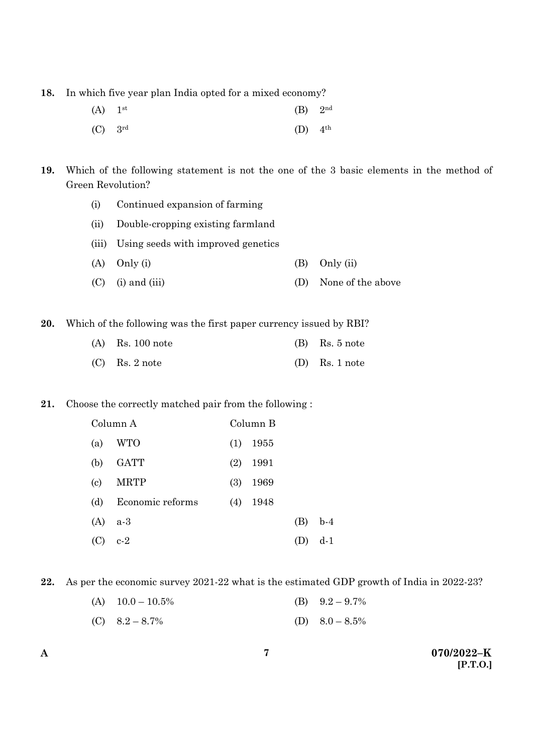**18.** In which five year plan India opted for a mixed economy?

| $(A)$ 1 <sup>st</sup> | $(B)$ 2 <sup>nd</sup> |  |
|-----------------------|-----------------------|--|
| $(C)$ 3rd             | $(D)$ 4 <sup>th</sup> |  |

**19.** Which of the following statement is not the one of the 3 basic elements in the method of Green Revolution?

- (i) Continued expansion of farming
- (ii) Double-cropping existing farmland
- (iii) Using seeds with improved genetics
- (A) Only (i) (B) Only (ii)
- (C) (i) and (iii) (D) None of the above

**20.** Which of the following was the first paper currency issued by RBI?

| $(A)$ Rs. 100 note | $(B)$ Rs. 5 note |
|--------------------|------------------|
| $(C)$ Rs. 2 note   | $(D)$ Rs. 1 note |

# **21.** Choose the correctly matched pair from the following :

|                            | Column A         |     | Column B |     |       |
|----------------------------|------------------|-----|----------|-----|-------|
| (a)                        | WTO              | (1) | 1955     |     |       |
| (b)                        | <b>GATT</b>      | (2) | 1991     |     |       |
| $\left( \mathrm{c}\right)$ | <b>MRTP</b>      | (3) | 1969     |     |       |
| (d)                        | Economic reforms | (4) | 1948     |     |       |
| (A)                        | $a-3$            |     |          | (B) | $b-4$ |
| (C)                        | $c-2$            |     |          |     | d-1   |

**22.** As per the economic survey 2021-22 what is the estimated GDP growth of India in 2022-23?

| (A) $10.0 - 10.5\%$ | (B) $9.2 - 9.7\%$ |
|---------------------|-------------------|
|                     |                   |

(C)  $8.2 - 8.7\%$  (D)  $8.0 - 8.5\%$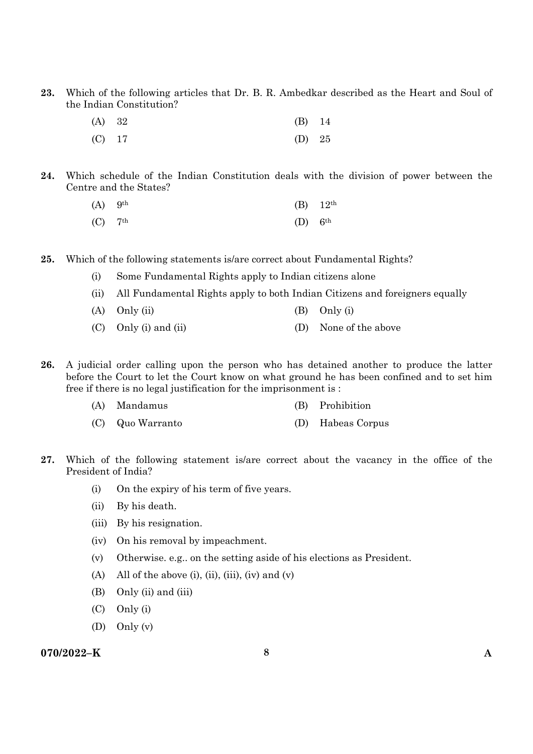**23.** Which of the following articles that Dr. B. R. Ambedkar described as the Heart and Soul of the Indian Constitution?

| (A) 32   | $(B)$ 14 |  |
|----------|----------|--|
| $(C)$ 17 | (D) $25$ |  |

**24.** Which schedule of the Indian Constitution deals with the division of power between the Centre and the States?

| $(A)$ 9 <sup>th</sup> |                       | (B) $12^{th}$ |
|-----------------------|-----------------------|---------------|
| $(C)$ 7 <sup>th</sup> | $(D)$ 6 <sup>th</sup> |               |

- **25.** Which of the following statements is/are correct about Fundamental Rights?
	- (i) Some Fundamental Rights apply to Indian citizens alone
	- (ii) All Fundamental Rights apply to both Indian Citizens and foreigners equally
	- (A)  $Only (ii)$  (B)  $Only (i)$
	- (C) Only (i) and (ii) (D) None of the above
- **26.** A judicial order calling upon the person who has detained another to produce the latter before the Court to let the Court know on what ground he has been confined and to set him free if there is no legal justification for the imprisonment is :
	- (A) Mandamus (B) Prohibition
	- (C) Quo Warranto (D) Habeas Corpus
- **27.** Which of the following statement is/are correct about the vacancy in the office of the President of India?
	- (i) On the expiry of his term of five years.
	- (ii) By his death.
	- (iii) By his resignation.
	- (iv) On his removal by impeachment.
	- (v) Otherwise. e.g.. on the setting aside of his elections as President.
	- (A) All of the above (i), (ii), (iii), (iv) and (v)
	- (B) Only (ii) and (iii)
	- (C) Only (i)
	- (D) Only (v)

#### **070/2022–K 8 A**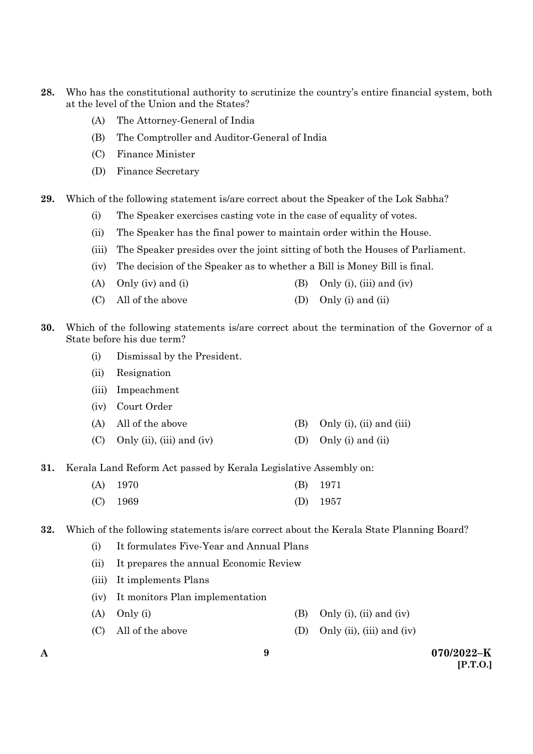- **28.** Who has the constitutional authority to scrutinize the country's entire financial system, both at the level of the Union and the States?
	- (A) The Attorney-General of India
	- (B) The Comptroller and Auditor-General of India
	- (C) Finance Minister
	- (D) Finance Secretary
- **29.** Which of the following statement is/are correct about the Speaker of the Lok Sabha?
	- (i) The Speaker exercises casting vote in the case of equality of votes.
	- (ii) The Speaker has the final power to maintain order within the House.
	- (iii) The Speaker presides over the joint sitting of both the Houses of Parliament.
	- (iv) The decision of the Speaker as to whether a Bill is Money Bill is final.
	- (A) Only (iv) and (i)  $(B)$  Only (i), (iii) and (iv)
	- (C) All of the above (D) Only (i) and (ii)
- **30.** Which of the following statements is/are correct about the termination of the Governor of a State before his due term?
	- (i) Dismissal by the President.
	- (ii) Resignation
	- (iii) Impeachment
	- (iv) Court Order
	- (A) All of the above (B) Only (i), (ii) and (iii)
	- (C) Only (ii), (iii) and (iv) (D) Only (i) and (ii)
- **31.** Kerala Land Reform Act passed by Kerala Legislative Assembly on:

| $(A)$ 1970 | $(B)$ 1971 |
|------------|------------|
| $(C)$ 1969 | (D) $1957$ |

**32.** Which of the following statements is/are correct about the Kerala State Planning Board?

- (i) It formulates Five-Year and Annual Plans
- (ii) It prepares the annual Economic Review
- (iii) It implements Plans
- (iv) It monitors Plan implementation
- (A) Only (i)  $\qquad \qquad$  (B) Only (i), (ii) and (iv)
- (C) All of the above (D) Only (ii), (iii) and (iv)
-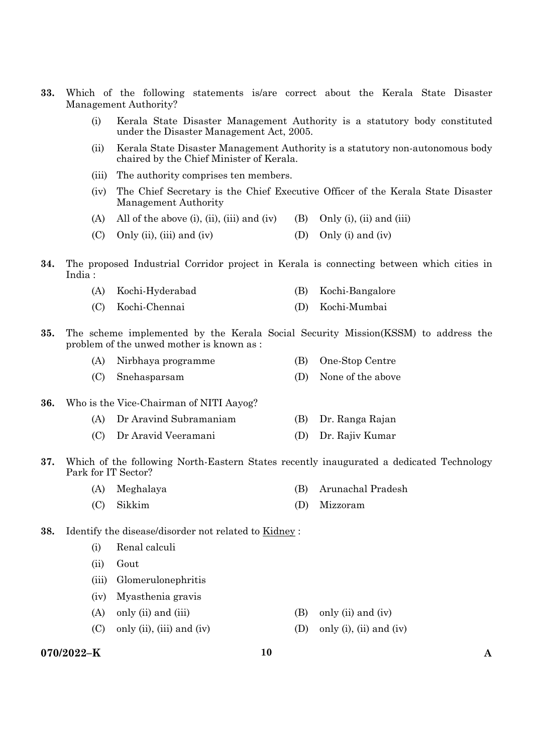- **33.** Which of the following statements is/are correct about the Kerala State Disaster Management Authority?
	- (i) Kerala State Disaster Management Authority is a statutory body constituted under the Disaster Management Act, 2005.
	- (ii) Kerala State Disaster Management Authority is a statutory non-autonomous body chaired by the Chief Minister of Kerala.
	- (iii) The authority comprises ten members.
	- (iv) The Chief Secretary is the Chief Executive Officer of the Kerala State Disaster Management Authority
	- (A) All of the above (i), (ii), (iii) and (iv) (B) Only (i), (ii) and (iii)
	- (C) Only (ii), (iii) and (iv)  $(1)$  Only (i) and (iv)
- **34.** The proposed Industrial Corridor project in Kerala is connecting between which cities in India :

|  | (A) Kochi-Hyderabad |  | (B) Kochi-Bangalore |
|--|---------------------|--|---------------------|
|--|---------------------|--|---------------------|

- (C) Kochi-Chennai (D) Kochi-Mumbai
- **35.** The scheme implemented by the Kerala Social Security Mission(KSSM) to address the problem of the unwed mother is known as :

| (A) Nirbhaya programme | (B) One-Stop Centre   |
|------------------------|-----------------------|
| (C) Snehasparsam       | (D) None of the above |

- **36.** Who is the Vice-Chairman of NITI Aayog?
	- (A) Dr Aravind Subramaniam (B) Dr. Ranga Rajan
	- (C) Dr Aravid Veeramani (D) Dr. Rajiv Kumar
- **37.** Which of the following North-Eastern States recently inaugurated a dedicated Technology Park for IT Sector?
	- (A) Meghalaya (B) Arunachal Pradesh
	- (C) Sikkim (D) Mizzoram
- **38.** Identify the disease/disorder not related to Kidney :
	- (i) Renal calculi
	- (ii) Gout
	- (iii) Glomerulonephritis
	- (iv) Myasthenia gravis
	- (A) only (ii) and (iii)  $(B)$  only (ii) and (iv)
	- (C) only (ii), (iii) and (iv) (D) only (i), (ii) and (iv)

#### **070/2022–K 10 A**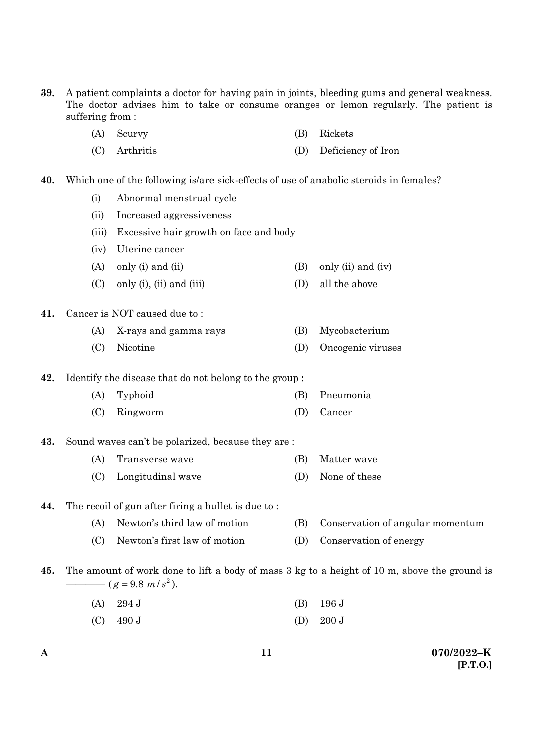- **39.** A patient complaints a doctor for having pain in joints, bleeding gums and general weakness. The doctor advises him to take or consume oranges or lemon regularly. The patient is suffering from :
	- (A) Scurvy (B) Rickets
	- (C) Arthritis (D) Deficiency of Iron
- **40.** Which one of the following is/are sick-effects of use of anabolic steroids in females?
	- (i) Abnormal menstrual cycle
	- (ii) Increased aggressiveness
	- (iii) Excessive hair growth on face and body
	- (iv) Uterine cancer
	- (A) only (i) and (ii)  $(B)$  only (ii) and (iv)
	- (C) only (i), (ii) and (iii)  $(D)$  all the above

#### **41.** Cancer is NOT caused due to :

- (A) X-rays and gamma rays (B) Mycobacterium
- (C) Nicotine (D) Oncogenic viruses

**42.** Identify the disease that do not belong to the group :

- (A) Typhoid (B) Pneumonia
- (C) Ringworm (D) Cancer

#### **43.** Sound waves can't be polarized, because they are :

- (A) Transverse wave (B) Matter wave
- (C) Longitudinal wave (D) None of these

#### **44.** The recoil of gun after firing a bullet is due to :

- (A) Newton's third law of motion (B) Conservation of angular momentum
- (C) Newton's first law of motion (D) Conservation of energy
- **45.** The amount of work done to lift a body of mass 3 kg to a height of 10 m, above the ground is  $(g = 9.8 \frac{m}{s^2})$ .
	- (A) 294 J (B) 196 J
	- (C)  $490 \text{ J}$  (D)  $200 \text{ J}$

**A 070/2022–K [P.T.O.]**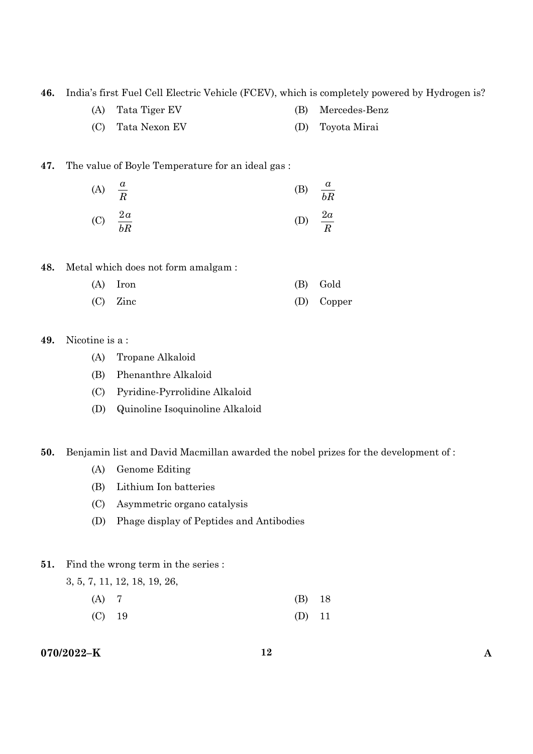**46.** India's first Fuel Cell Electric Vehicle (FCEV), which is completely powered by Hydrogen is?

- (A) Tata Tiger EV (B) Mercedes-Benz
- (C) Tata Nexon EV (D) Toyota Mirai

#### **47.** The value of Boyle Temperature for an ideal gas :

(A) 
$$
\frac{a}{R}
$$
 (B)  $\frac{a}{bR}$   
(C)  $\frac{2a}{bR}$  (D)  $\frac{2a}{R}$ 

**48.** Metal which does not form amalgam :

| $(A)$ Iron | (B) Gold   |
|------------|------------|
| $(C)$ Zinc | (D) Copper |

# **49.** Nicotine is a :

- (A) Tropane Alkaloid
- (B) Phenanthre Alkaloid
- (C) Pyridine-Pyrrolidine Alkaloid
- (D) Quinoline Isoquinoline Alkaloid

#### **50.** Benjamin list and David Macmillan awarded the nobel prizes for the development of :

- (A) Genome Editing
- (B) Lithium Ion batteries
- (C) Asymmetric organo catalysis
- (D) Phage display of Peptides and Antibodies

#### **51.** Find the wrong term in the series :

3, 5, 7, 11, 12, 18, 19, 26,

- (A) 7 (B) 18
- (C) 19 (D) 11

# **070/2022–K 12 A**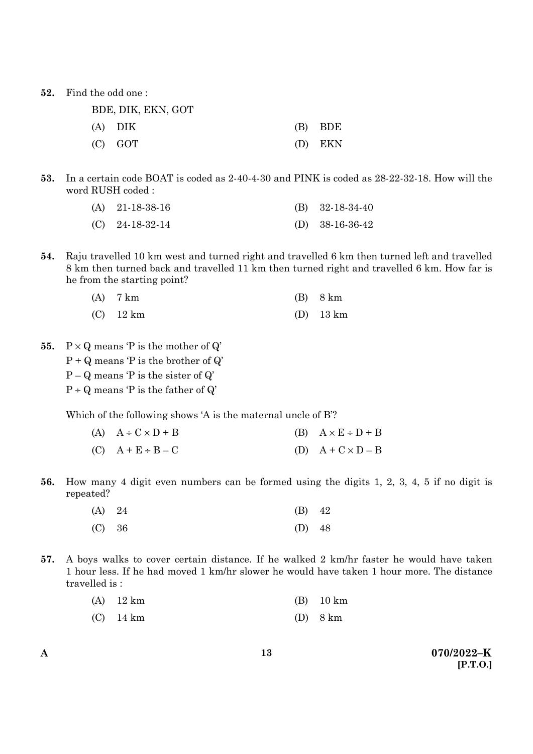**52.** Find the odd one :

| BDE, DIK, EKN, GOT |           |
|--------------------|-----------|
| (A) DIK            | $(B)$ BDE |
| $(C)$ GOT          | (D) EKN   |

**53.** In a certain code BOAT is coded as 2-40-4-30 and PINK is coded as 28-22-32-18. How will the word RUSH coded :

| (A) $21-18-38-16$ | (B) $32-18-34-40$ |
|-------------------|-------------------|
| $(C)$ 24-18-32-14 | (D) $38-16-36-42$ |

**54.** Raju travelled 10 km west and turned right and travelled 6 km then turned left and travelled 8 km then turned back and travelled 11 km then turned right and travelled 6 km. How far is he from the starting point?

| $(A)$ 7 km  | $(B)$ 8 km  |
|-------------|-------------|
| $(C)$ 12 km | $(D)$ 13 km |

- **55.**  $P \times Q$  means  $P$  is the mother of  $Q'$ 
	- $P + Q$  means  $P$  is the brother of  $Q'$
	- $P Q$  means  $P$  is the sister of  $Q'$
	- $P \div Q$  means 'P is the father of  $Q'$

Which of the following shows 'A is the maternal uncle of B'?

- (A)  $A \div C \times D + B$  (B)  $A \times E \div D + B$ (C)  $A + E \div B - C$  (D)  $A + C \times D - B$
- **56.** How many 4 digit even numbers can be formed using the digits 1, 2, 3, 4, 5 if no digit is repeated?

| (A) 24 | $(B)$ 42 |  |
|--------|----------|--|
| (C) 36 | (D) $48$ |  |

**57.** A boys walks to cover certain distance. If he walked 2 km/hr faster he would have taken 1 hour less. If he had moved 1 km/hr slower he would have taken 1 hour more. The distance travelled is :

| $(A)$ 12 km           |                                   | $(B)$ 10 km |
|-----------------------|-----------------------------------|-------------|
| $\sqrt{N}$ $\sqrt{1}$ | $\sqrt{D}$ $\wedge$ $\frac{1}{2}$ |             |

(C) 14 km (D) 8 km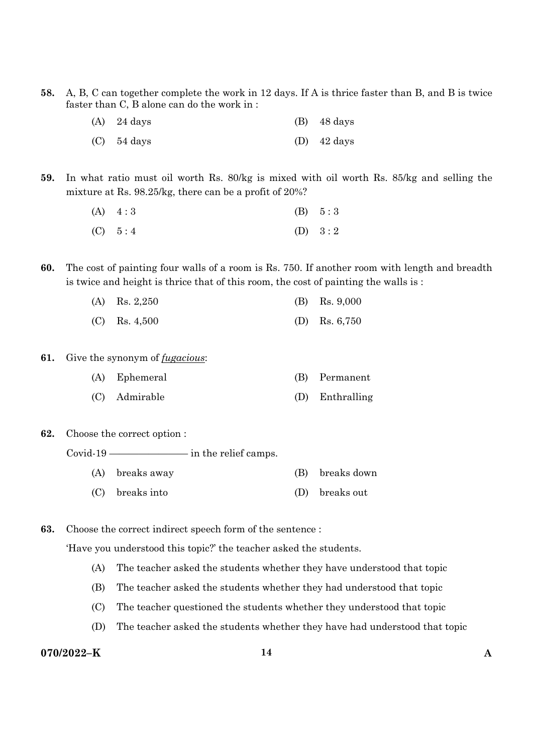**58.** A, B, C can together complete the work in 12 days. If A is thrice faster than B, and B is twice faster than C, B alone can do the work in :

| $(A)$ 24 days | $(B)$ 48 days         |
|---------------|-----------------------|
| $(C)$ 54 days | (D) $42 \text{ days}$ |

**59.** In what ratio must oil worth Rs. 80/kg is mixed with oil worth Rs. 85/kg and selling the mixture at Rs. 98.25/kg, there can be a profit of 20%?

| $(A) \quad 4:3$ | (B) 5:3   |
|-----------------|-----------|
| (C) 5:4         | (D) $3:2$ |

**60.** The cost of painting four walls of a room is Rs. 750. If another room with length and breadth is twice and height is thrice that of this room, the cost of painting the walls is :

| (A) Rs. $2,250$ | (B) Rs. $9,000$ |
|-----------------|-----------------|
| $(C)$ Rs. 4,500 | (D) Rs. $6,750$ |

- **61.** Give the synonym of *fugacious*:
	- (A) Ephemeral (B) Permanent
	- (C) Admirable (D) Enthralling
- **62.** Choose the correct option :

Covid-19 ———————— in the relief camps.

- (A) breaks away (B) breaks down
- (C) breaks into (D) breaks out

**63.** Choose the correct indirect speech form of the sentence :

'Have you understood this topic?' the teacher asked the students.

- (A) The teacher asked the students whether they have understood that topic
- (B) The teacher asked the students whether they had understood that topic
- (C) The teacher questioned the students whether they understood that topic
- (D) The teacher asked the students whether they have had understood that topic

# **070/2022–K 14 A**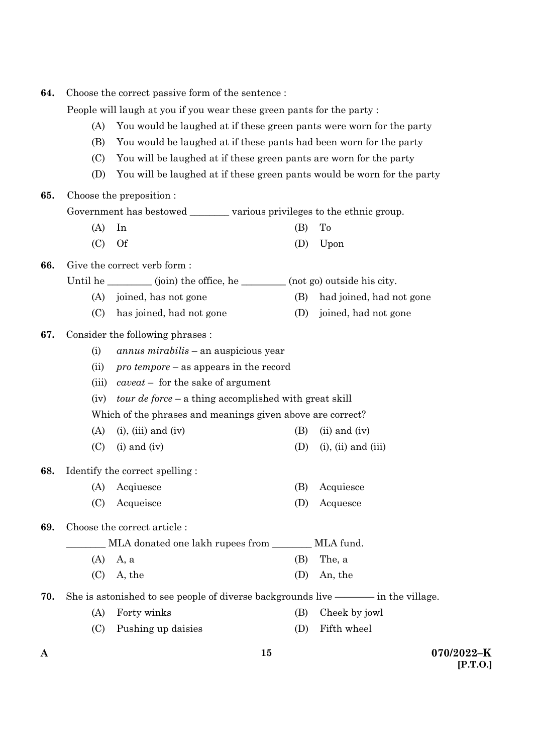| 64.                                                                         | Choose the correct passive form of the sentence:<br>People will laugh at you if you wear these green pants for the party: |                                                                                       |     |                            |  |
|-----------------------------------------------------------------------------|---------------------------------------------------------------------------------------------------------------------------|---------------------------------------------------------------------------------------|-----|----------------------------|--|
|                                                                             |                                                                                                                           |                                                                                       |     |                            |  |
| You would be laughed at if these green pants were worn for the party<br>(A) |                                                                                                                           |                                                                                       |     |                            |  |
|                                                                             | (B)                                                                                                                       | You would be laughed at if these pants had been worn for the party                    |     |                            |  |
|                                                                             | You will be laughed at if these green pants are worn for the party<br>(C)                                                 |                                                                                       |     |                            |  |
|                                                                             | (D)                                                                                                                       | You will be laughed at if these green pants would be worn for the party               |     |                            |  |
| 65.                                                                         |                                                                                                                           | Choose the preposition :                                                              |     |                            |  |
|                                                                             |                                                                                                                           | Government has bestowed ___________ various privileges to the ethnic group.           |     |                            |  |
|                                                                             | (A)                                                                                                                       | In                                                                                    | (B) | To                         |  |
|                                                                             | (C)                                                                                                                       | <b>Of</b>                                                                             | (D) | Upon                       |  |
| 66.                                                                         |                                                                                                                           | Give the correct verb form:                                                           |     |                            |  |
|                                                                             |                                                                                                                           | Until he $\_\_\_\_\_\_$ (join) the office, he $\_\_\_\_\_$ (not go) outside his city. |     |                            |  |
|                                                                             | (A)                                                                                                                       | joined, has not gone                                                                  | (B) | had joined, had not gone   |  |
|                                                                             | (C)                                                                                                                       | has joined, had not gone                                                              | (D) | joined, had not gone       |  |
| 67.                                                                         |                                                                                                                           | Consider the following phrases :                                                      |     |                            |  |
|                                                                             | (i)                                                                                                                       | <i>annus mirabilis</i> – an auspicious year                                           |     |                            |  |
|                                                                             | (ii)                                                                                                                      | $\textit{pro temper}$ – as appears in the record                                      |     |                            |  |
|                                                                             | (iii)                                                                                                                     | $caveat$ – for the sake of argument                                                   |     |                            |  |
|                                                                             | tour de force – a thing accomplished with great skill<br>(iv)                                                             |                                                                                       |     |                            |  |
|                                                                             | Which of the phrases and meanings given above are correct?                                                                |                                                                                       |     |                            |  |
|                                                                             | (A)                                                                                                                       | $(i)$ , $(iii)$ and $(iv)$                                                            | (B) | $(ii)$ and $(iv)$          |  |
|                                                                             | (C)                                                                                                                       | $(i)$ and $(iv)$                                                                      | (D) | $(i)$ , $(ii)$ and $(iii)$ |  |
| 68.                                                                         |                                                                                                                           | Identify the correct spelling:                                                        |     |                            |  |
|                                                                             |                                                                                                                           | (A) Acqiuesce                                                                         | (B) | Acquiesce                  |  |
|                                                                             | (C)                                                                                                                       | Acqueisce                                                                             | (D) | Acquesce                   |  |
| 69.                                                                         |                                                                                                                           | Choose the correct article:                                                           |     |                            |  |
|                                                                             |                                                                                                                           | MLA fund.<br>MLA donated one lakh rupees from _______                                 |     |                            |  |
|                                                                             | (A)                                                                                                                       | A, a                                                                                  | (B) | The, a                     |  |
|                                                                             | (C)                                                                                                                       | A, the                                                                                | (D) | An, the                    |  |
| 70.                                                                         |                                                                                                                           |                                                                                       |     |                            |  |
|                                                                             | (A)                                                                                                                       | Forty winks                                                                           | (B) | Cheek by jowl              |  |
|                                                                             | (C)                                                                                                                       | Pushing up daisies                                                                    | (D) | Fifth wheel                |  |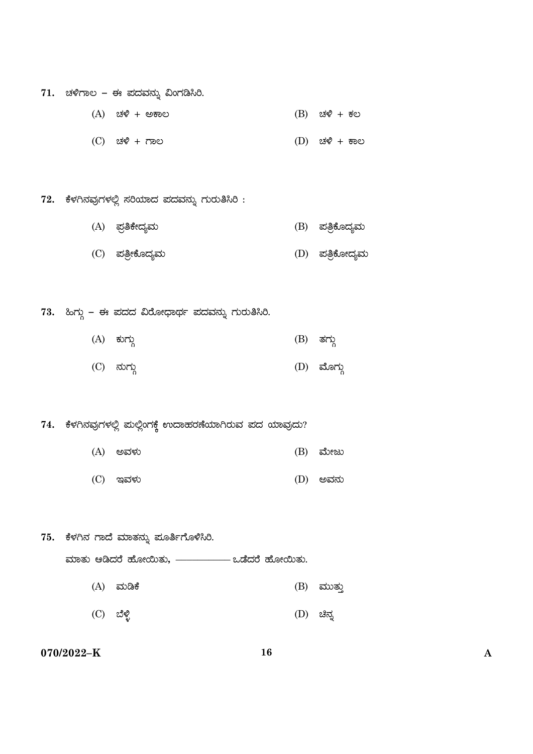- 71. ಚಳಿಗಾಲ ಈ ಪದವನ್ನು ವಿಂಗಡಿಸಿರಿ.
	- $(A)$   $\forall x \in \mathbb{R}^n$  and  $(B)$   $\forall x \in \mathbb{R}^n$  and  $(B)$   $\forall x \in \mathbb{R}^n$
	- (C) ZÀ½ + UÁ® (D) ZÀ½ + PÁ®
- 72. ಕೆಳಗಿನವುಗಳಲ್ಲಿ ಸರಿಯಾದ ಪದವನ್ನು ಗುರುತಿಸಿರಿ :
	- (A) ¥ÀæwPÉÃzÀåªÀÄ (B) ¥ÀwæPÉÆzÀåªÀÄ
	- (C) ¥ÀwæÃPÉÆzÀåªÀÄ (D) ¥ÀwæPÉÆÃzÀåªÀÄ

73. ಹಿಗ್ಗು – ಈ ಪದದ ವಿರೋಧಾರ್ಥ ಪದವನ್ನು ಗುರುತಿಸಿರಿ.

- (A) ಕುಗ್ಗು (B) ತಗ್ಗು
- (C) ಹುಗ್ಗು (D) ಮೊಗ್ಗು

74. ಕೆಳಗಿನವುಗಳಲ್ಲಿ ಮಲ್ಲಿಂಗಕ್ಕೆ ಉದಾಹರಣೆಯಾಗಿರುವ ಪದ ಯಾವುದು?

- (A) CªÀ¼ÀÄ (B) ªÉÄÃdÄ
- (C) EªÀ¼ÀÄ (D) CªÀ£ÀÄ

75. ಕೆಳಗಿನ ಗಾದೆ ಮಾತನ್ನು ಮೂರ್ತಿಗೊಳಿಸಿರಿ. ಮಾತು ಆಡಿದರೆ ಹೋಯಿತು, ––––––––– ಒಡೆದರೆ ಹೋಯಿತು. (A) ªÀÄrPÉ (B) ªÀÄÄvÀÄÛ  $(C)$  ಬೆಳ್ಳಿ (D) ಚಿನ್ನ

# **070/2022–K 16 A**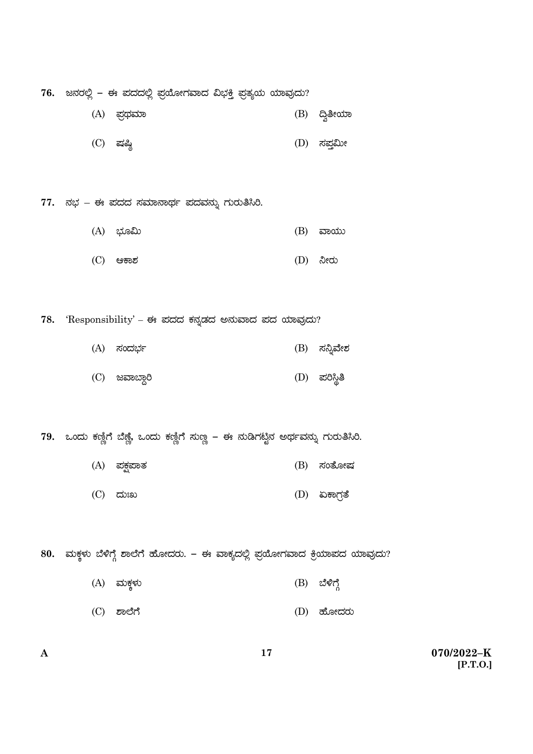76. ಜನರಲ್ಲಿ – ಈ ಪದದಲ್ಲಿ ಪ್ರಯೋಗವಾದ ವಿಭ<del>ಕ್</del>ಕಿ ಪ್ರತ್ಯಯ ಯಾವುದು?

- $(A)$  ಪ್ರಥಮಾ é (B) A & codo
- (C) μÀ¶× (D) ¸À¥ÀÛ«ÄÃ

77. ನಭ – ಈ ಪದದ ಸಮಾನಾರ್ಥ ಪದವನ್ನು ಗುರುತಿಸಿರಿ.

- (A) ¨sÀÆ«Ä (B) ªÁAiÀÄÄ
- (C) DPÁ±À (D) ¤ÃgÀÄ

78. <br>
Tesponsibility' – ಈ ಪದದ ಕನ್ನಡದ ಅನುವಾದ ಪದ ಯಾವುದು?

- (A) ¸ÀAzÀ¨sÀð (B) ¸À¤ßªÉñÀ
- (C) ಜವಾಬ್ದಾರಿ Ü  $(D)$  ಪರಿಸ್ಥಿತಿ

**79.** ಒಂದು ಕಣ್ಣಿಗೆ ಬೆಣ್ಣೆ, ಒಂದು ಕಣ್ಣಿಗೆ ಸುಣ್ಣ – ಈ ನುಡಿಗಟ್ಟಿನ ಅರ್ಥವನ್ನು ಗುರುತಿಸಿರಿ. Ö

- $(A)$  ಪಕ್ಷಪಾತ  $(B)$  ಸಂತೋಷ
- (C) zÀÄBR (D) KPÁUÀævÉ

80. ಮಕ್ಕಳು ಬೆಳಿಗ್ಗೆ ಶಾಲೆಗೆ ಹೋದರು. – ಈ ವಾಕ್ಯದಲ್ಲಿ ಪ್ರಯೋಗವಾದ ಕ್ರಿಯಾಪದ ಯಾವುದು?

- $(A)$  ಮಕ್ಕಳು (B) ಬೆಳಿಗ್ಗೆ
- (C) ±Á¯ÉUÉ (D) ºÉÆÃzÀgÀÄ

**A 070/2022–K [P.T.O.]**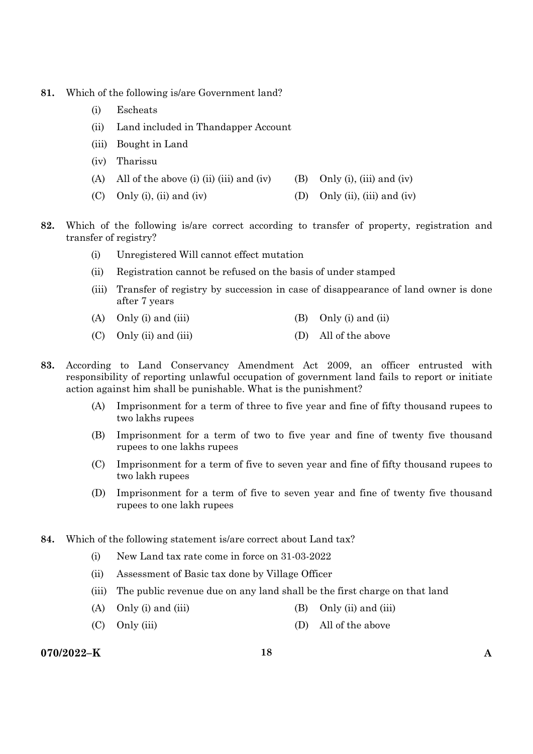- **81.** Which of the following is/are Government land?
	- (i) Escheats
	- (ii) Land included in Thandapper Account
	- (iii) Bought in Land
	- (iv) Tharissu
	- (A) All of the above (i) (ii) (iii) and (iv) (B) Only (i), (iii) and (iv)
	- (C) Only (i), (ii) and (iv) (D) Only (ii), (iii) and (iv)
- **82.** Which of the following is/are correct according to transfer of property, registration and transfer of registry?
	- (i) Unregistered Will cannot effect mutation
	- (ii) Registration cannot be refused on the basis of under stamped
	- (iii) Transfer of registry by succession in case of disappearance of land owner is done after 7 years
	- (A) Only (i) and (iii)  $(B)$  Only (i) and (ii)
	- (C) Only (ii) and (iii) (D) All of the above
- **83.** According to Land Conservancy Amendment Act 2009, an officer entrusted with responsibility of reporting unlawful occupation of government land fails to report or initiate action against him shall be punishable. What is the punishment?
	- (A) Imprisonment for a term of three to five year and fine of fifty thousand rupees to two lakhs rupees
	- (B) Imprisonment for a term of two to five year and fine of twenty five thousand rupees to one lakhs rupees
	- (C) Imprisonment for a term of five to seven year and fine of fifty thousand rupees to two lakh rupees
	- (D) Imprisonment for a term of five to seven year and fine of twenty five thousand rupees to one lakh rupees
- **84.** Which of the following statement is/are correct about Land tax?
	- (i) New Land tax rate come in force on 31-03-2022
	- (ii) Assessment of Basic tax done by Village Officer
	- (iii) The public revenue due on any land shall be the first charge on that land
	- (A) Only (i) and (iii)  $(B)$  Only (ii) and (iii)
	- (C) Only (iii) (D) All of the above

# **070/2022–K 18 A**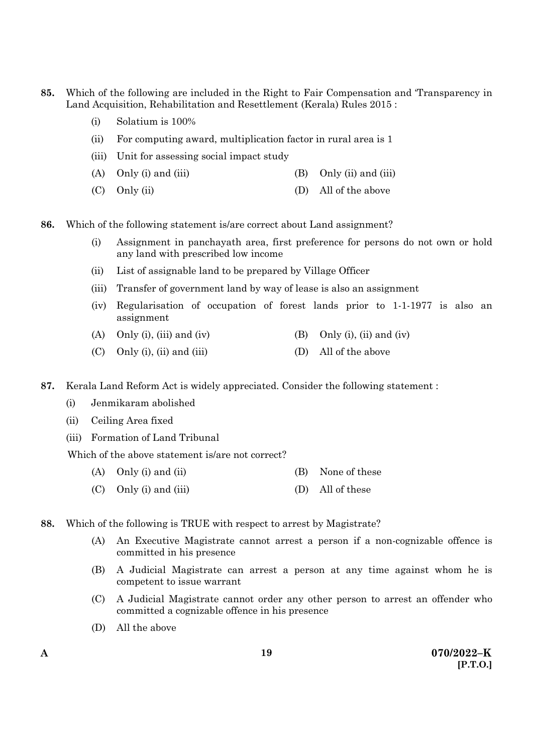- **85.** Which of the following are included in the Right to Fair Compensation and 'Transparency in Land Acquisition, Rehabilitation and Resettlement (Kerala) Rules 2015 :
	- (i) Solatium is 100%
	- (ii) For computing award, multiplication factor in rural area is 1
	- (iii) Unit for assessing social impact study
	- (A) Only (i) and (iii)  $(B)$  Only (ii) and (iii)
	- (C) Only (ii) (D) All of the above
- **86.** Which of the following statement is/are correct about Land assignment?
	- (i) Assignment in panchayath area, first preference for persons do not own or hold any land with prescribed low income
	- (ii) List of assignable land to be prepared by Village Officer
	- (iii) Transfer of government land by way of lease is also an assignment
	- (iv) Regularisation of occupation of forest lands prior to 1-1-1977 is also an assignment
	- (A) Only (i), (iii) and (iv) (B) Only (i), (ii) and (iv)
	- (C) Only (i), (ii) and (iii)  $(D)$  All of the above
- **87.** Kerala Land Reform Act is widely appreciated. Consider the following statement :
	- (i) Jenmikaram abolished
	- (ii) Ceiling Area fixed
	- (iii) Formation of Land Tribunal

Which of the above statement is/are not correct?

- (A) Only (i) and (ii)  $(B)$  None of these
- (C) Only (i) and (iii) (D) All of these
- **88.** Which of the following is TRUE with respect to arrest by Magistrate?
	- (A) An Executive Magistrate cannot arrest a person if a non-cognizable offence is committed in his presence
	- (B) A Judicial Magistrate can arrest a person at any time against whom he is competent to issue warrant
	- (C) A Judicial Magistrate cannot order any other person to arrest an offender who committed a cognizable offence in his presence
	- (D) All the above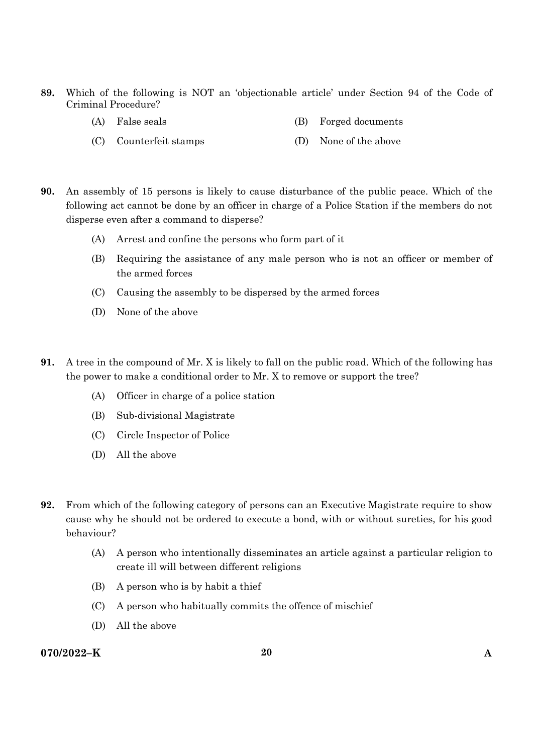- **89.** Which of the following is NOT an 'objectionable article' under Section 94 of the Code of Criminal Procedure?
	- (A) False seals (B) Forged documents
	- (C) Counterfeit stamps (D) None of the above
- **90.** An assembly of 15 persons is likely to cause disturbance of the public peace. Which of the following act cannot be done by an officer in charge of a Police Station if the members do not disperse even after a command to disperse?
	- (A) Arrest and confine the persons who form part of it
	- (B) Requiring the assistance of any male person who is not an officer or member of the armed forces
	- (C) Causing the assembly to be dispersed by the armed forces
	- (D) None of the above
- **91.** A tree in the compound of Mr. X is likely to fall on the public road. Which of the following has the power to make a conditional order to Mr. X to remove or support the tree?
	- (A) Officer in charge of a police station
	- (B) Sub-divisional Magistrate
	- (C) Circle Inspector of Police
	- (D) All the above
- **92.** From which of the following category of persons can an Executive Magistrate require to show cause why he should not be ordered to execute a bond, with or without sureties, for his good behaviour?
	- (A) A person who intentionally disseminates an article against a particular religion to create ill will between different religions
	- (B) A person who is by habit a thief
	- (C) A person who habitually commits the offence of mischief
	- (D) All the above

# **070/2022–K 20 A**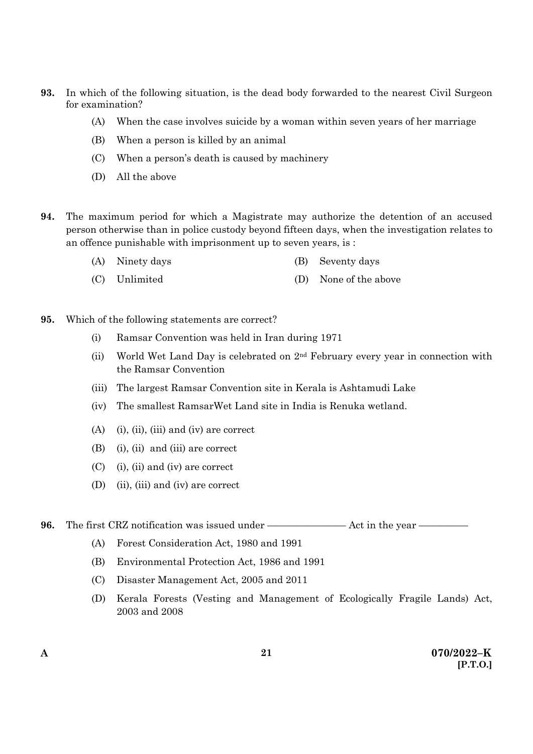- **93.** In which of the following situation, is the dead body forwarded to the nearest Civil Surgeon for examination?
	- (A) When the case involves suicide by a woman within seven years of her marriage
	- (B) When a person is killed by an animal
	- (C) When a person's death is caused by machinery
	- (D) All the above
- **94.** The maximum period for which a Magistrate may authorize the detention of an accused person otherwise than in police custody beyond fifteen days, when the investigation relates to an offence punishable with imprisonment up to seven years, is :
	- (A) Ninety days (B) Seventy days
	- (C) Unlimited (D) None of the above
- **95.** Which of the following statements are correct?
	- (i) Ramsar Convention was held in Iran during 1971
	- (ii) World Wet Land Day is celebrated on  $2<sup>nd</sup>$  February every year in connection with the Ramsar Convention
	- (iii) The largest Ramsar Convention site in Kerala is Ashtamudi Lake
	- (iv) The smallest RamsarWet Land site in India is Renuka wetland.
	- (A) (i), (ii), (iii) and (iv) are correct
	- (B) (i), (ii) and (iii) are correct
	- (C) (i), (ii) and (iv) are correct
	- (D) (ii), (iii) and (iv) are correct

**96.** The first CRZ notification was issued under ———————— Act in the year —————

- (A) Forest Consideration Act, 1980 and 1991
- (B) Environmental Protection Act, 1986 and 1991
- (C) Disaster Management Act, 2005 and 2011
- (D) Kerala Forests (Vesting and Management of Ecologically Fragile Lands) Act, 2003 and 2008

**21**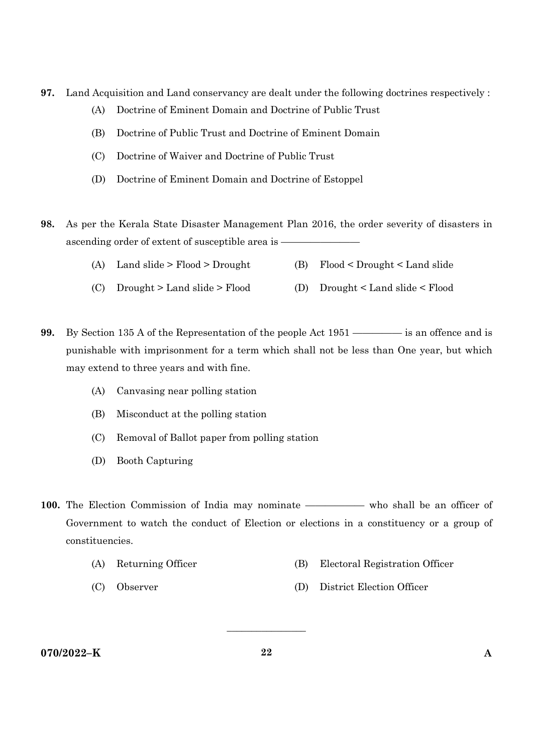- **97.** Land Acquisition and Land conservancy are dealt under the following doctrines respectively :
	- (A) Doctrine of Eminent Domain and Doctrine of Public Trust
	- (B) Doctrine of Public Trust and Doctrine of Eminent Domain
	- (C) Doctrine of Waiver and Doctrine of Public Trust
	- (D) Doctrine of Eminent Domain and Doctrine of Estoppel
- **98.** As per the Kerala State Disaster Management Plan 2016, the order severity of disasters in ascending order of extent of susceptible area is -
	- (A) Land slide > Flood > Drought (B) Flood < Drought < Land slide
	- (C) Drought > Land slide > Flood (D) Drought < Land slide < Flood
- **99.** By Section 135 A of the Representation of the people Act 1951 ————— is an offence and is punishable with imprisonment for a term which shall not be less than One year, but which may extend to three years and with fine.
	- (A) Canvasing near polling station
	- (B) Misconduct at the polling station
	- (C) Removal of Ballot paper from polling station
	- (D) Booth Capturing
- 100. The Election Commission of India may nominate —————— who shall be an officer of Government to watch the conduct of Election or elections in a constituency or a group of constituencies.
	- (A) Returning Officer (B) Electoral Registration Officer
		-
	- (C) Observer (D) District Election Officer

# **070/2022–K 22 A**

 $\overline{\phantom{a}}$  , where  $\overline{\phantom{a}}$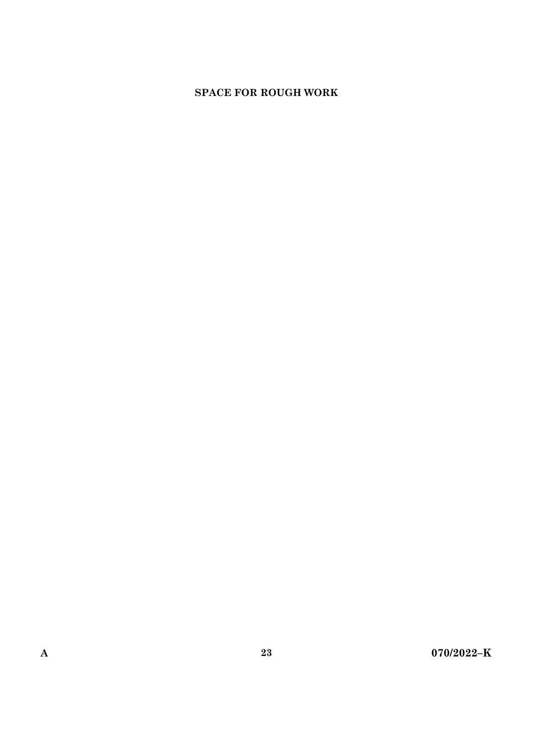# **SPACE FOR ROUGH WORK**